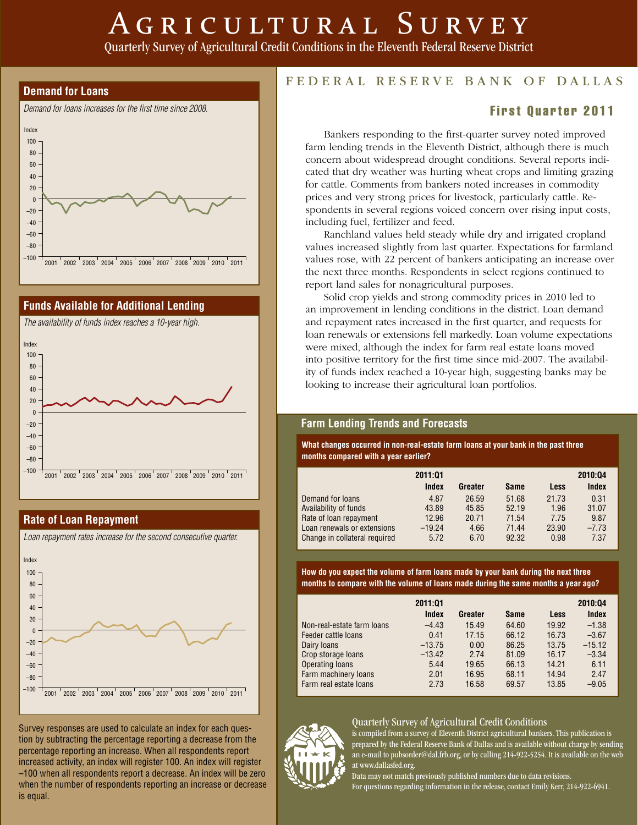# AGRICULTURAL SURVEY

Quarterly Survey of Agricultural Credit Conditions in the Eleventh Federal Reserve District





#### **Rate of Loan Repayment**



Survey responses are used to calculate an index for each question by subtracting the percentage reporting a decrease from the percentage reporting an increase. When all respondents report increased activity, an index will register 100. An index will register –100 when all respondents report a decrease. An index will be zero when the number of respondents reporting an increase or decrease is equal.

# FEDERAL RESERVE BANK OF DALLAS

### **First Quarter 2011**

 Bankers responding to the first-quarter survey noted improved farm lending trends in the Eleventh District, although there is much concern about widespread drought conditions. Several reports indicated that dry weather was hurting wheat crops and limiting grazing for cattle. Comments from bankers noted increases in commodity prices and very strong prices for livestock, particularly cattle. Respondents in several regions voiced concern over rising input costs, including fuel, fertilizer and feed.

 Ranchland values held steady while dry and irrigated cropland values increased slightly from last quarter. Expectations for farmland values rose, with 22 percent of bankers anticipating an increase over the next three months. Respondents in select regions continued to report land sales for nonagricultural purposes.

 Solid crop yields and strong commodity prices in 2010 led to an improvement in lending conditions in the district. Loan demand and repayment rates increased in the first quarter, and requests for loan renewals or extensions fell markedly. Loan volume expectations were mixed, although the index for farm real estate loans moved into positive territory for the first time since mid-2007. The availability of funds index reached a 10-year high, suggesting banks may be looking to increase their agricultural loan portfolios.

#### **Farm Lending Trends and Forecasts**

**What changes occurred in non-real-estate farm loans at your bank in the past three months compared with a year earlier?**

|                               | 2011:01  |         |             |             | 2010:04 |
|-------------------------------|----------|---------|-------------|-------------|---------|
|                               | Index    | Greater | <b>Same</b> | <b>Less</b> | Index   |
| Demand for loans              | 4.87     | 26.59   | 51.68       | 21.73       | 0.31    |
| Availability of funds         | 43.89    | 45.85   | 52.19       | 1.96        | 31.07   |
| Rate of loan repayment        | 12.96    | 20.71   | 71.54       | 7.75        | 9.87    |
| Loan renewals or extensions   | $-19.24$ | 4.66    | 71.44       | 23.90       | $-7.73$ |
| Change in collateral required | 5.72     | 6.70    | 92.32       | 0.98        | 7.37    |

**How do you expect the volume of farm loans made by your bank during the next three months to compare with the volume of loans made during the same months a year ago?**

|                            | 2011:01  |         |             |             | 2010:04  |
|----------------------------|----------|---------|-------------|-------------|----------|
|                            | Index    | Greater | <b>Same</b> | <b>Less</b> | Index    |
| Non-real-estate farm loans | $-4.43$  | 15.49   | 64.60       | 19.92       | $-1.38$  |
| Feeder cattle loans        | 0.41     | 17.15   | 66.12       | 16.73       | $-3.67$  |
| Dairy loans                | $-13.75$ | 0.00    | 86.25       | 13.75       | $-15.12$ |
| Crop storage loans         | $-13.42$ | 2.74    | 81.09       | 16.17       | $-3.34$  |
| Operating loans            | 5.44     | 19.65   | 66.13       | 14.21       | 6.11     |
| Farm machinery loans       | 2.01     | 16.95   | 68.11       | 14.94       | 2.47     |
| Farm real estate loans     | 2.73     | 16.58   | 69.57       | 13.85       | $-9.05$  |

#### Quarterly Survey of Agricultural Credit Conditions



is compiled from a survey of Eleventh District agricultural bankers. This publication is prepared by the Federal Reserve Bank of Dallas and is available without charge by sending an e-mail to pubsorder@dal.frb.org, or by calling 214-922-5254. It is available on the web at www.dallasfed.org.

Data may not match previously published numbers due to data revisions. For questions regarding information in the release, contact Emily Kerr, 214-922-6941.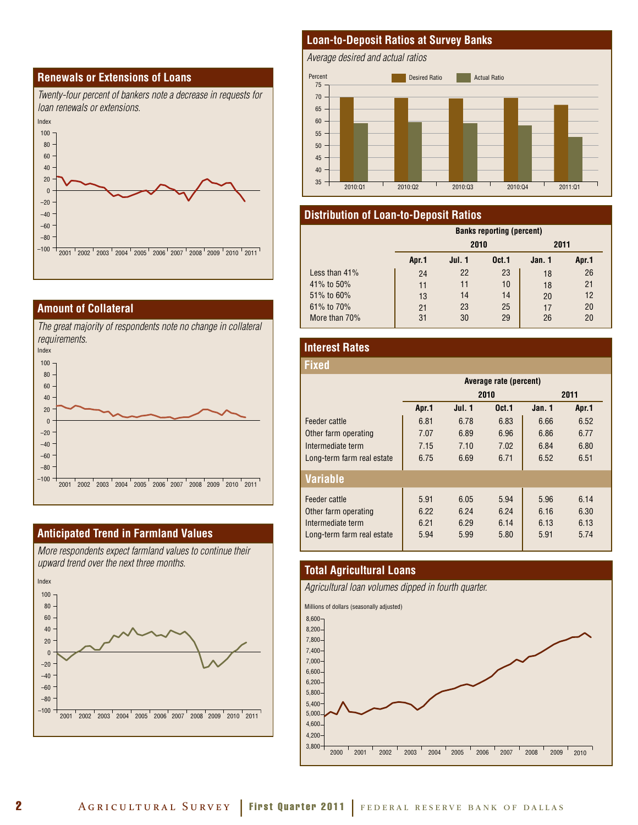



#### **Amount of Collateral**

*The great majority of respondents note no change in collateral requirements.* 



#### **Anticipated Trend in Farmland Values**

*More respondents expect farmland values to continue their upward trend over the next three months.*



#### **Loan-to-Deposit Ratios at Survey Banks**

*Average desired and actual ratios*



#### **Distribution of Loan-to-Deposit Ratios**

|                  | <b>Banks reporting (percent)</b> |        |                   |        |       |  |
|------------------|----------------------------------|--------|-------------------|--------|-------|--|
|                  |                                  | 2010   |                   | 2011   |       |  |
|                  | Apr.1                            | Jul. 1 | 0 <sub>ct.1</sub> | Jan. 1 | Apr.1 |  |
| Less than $41\%$ | 24                               | 22     | 23                | 18     | 26    |  |
| 41% to 50%       | 11                               | 11     | 10                | 18     | 21    |  |
| 51% to 60%       | 13                               | 14     | 14                | 20     | 12    |  |
| 61% to 70%       | 21                               | 23     | 25                | 17     | 20    |  |
| More than 70%    | 31                               | 30     | 29                | 26     | 20    |  |

#### **Interest Rates**

| Fixed                      |                        |               |                   |        |       |  |
|----------------------------|------------------------|---------------|-------------------|--------|-------|--|
|                            | Average rate (percent) |               |                   |        |       |  |
|                            |                        |               | 2010              |        | 2011  |  |
|                            | Apr.1                  | <b>Jul. 1</b> | 0 <sub>ct.1</sub> | Jan. 1 | Apr.1 |  |
| Feeder cattle              | 6.81                   | 6.78          | 6.83              | 6.66   | 6.52  |  |
| Other farm operating       | 7.07                   | 6.89          | 6.96              | 6.86   | 6.77  |  |
| Intermediate term          | 7.15                   | 7.10          | 7.02              | 6.84   | 6.80  |  |
| Long-term farm real estate | 6.75                   | 6.69          | 6.71              | 6.52   | 6.51  |  |
| <b>Variable</b>            |                        |               |                   |        |       |  |
| Feeder cattle              | 5.91                   | 6.05          | 5.94              | 5.96   | 6.14  |  |
| Other farm operating       | 6.22                   | 6.24          | 6.24              | 6.16   | 6.30  |  |
| Intermediate term          | 6.21                   | 6.29          | 6.14              | 6.13   | 6.13  |  |
| Long-term farm real estate | 5.94                   | 5.99          | 5.80              | 5.91   | 5.74  |  |

#### **Total Agricultural Loans**

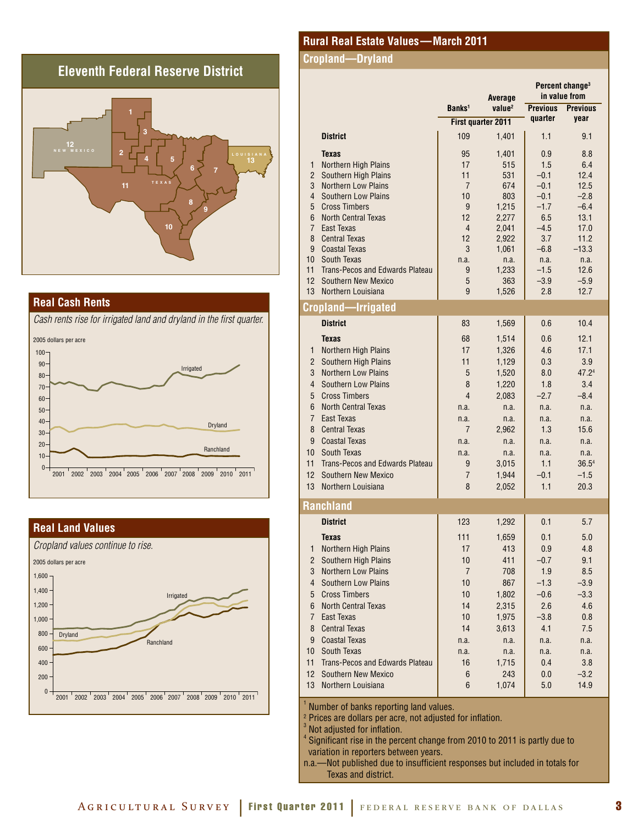## **Eleventh Federal Reserve District**



#### **Real Cash Rents**

*Cash rents rise for irrigated land and dryland in the first quarter.*



#### **Real Land Values**



#### **Rural Real Estate Values—March 2011**

#### **Cropland—Dryland**

|                     |                                                    | Average              |                    | Percent change <sup>3</sup><br>in value from |                   |  |
|---------------------|----------------------------------------------------|----------------------|--------------------|----------------------------------------------|-------------------|--|
|                     |                                                    | Banks <sup>1</sup>   | value <sup>2</sup> | <b>Previous</b>                              | <b>Previous</b>   |  |
|                     |                                                    |                      | First quarter 2011 | quarter                                      | year              |  |
|                     | <b>District</b>                                    | 109                  | 1,401              | 1.1                                          | 9.1               |  |
|                     | <b>Texas</b>                                       | 95                   | 1,401              | 0.9                                          | 8.8               |  |
| $\mathbf{1}$        | Northern High Plains                               | 17                   | 515                | 1.5                                          | 6.4               |  |
| $\overline{2}$      | Southern High Plains                               | 11                   | 531                | $-0.1$                                       | 12.4              |  |
| 3                   | <b>Northern Low Plains</b>                         | 7                    | 674                | $-0.1$                                       | 12.5              |  |
| 4                   | <b>Southern Low Plains</b>                         | 10                   | 803                | $-0.1$                                       | $-2.8$            |  |
| 5                   | <b>Cross Timbers</b>                               | 9                    | 1,215              | $-1.7$                                       | $-6.4$            |  |
| 6                   | <b>North Central Texas</b>                         | 12                   | 2,277              | 6.5                                          | 13.1              |  |
| $\overline{7}$      | East Texas                                         | 4                    | 2,041              | $-4.5$                                       | 17.0              |  |
| 8                   | <b>Central Texas</b>                               | 12                   | 2,922              | 3.7                                          | 11.2              |  |
| 9<br>10             | <b>Coastal Texas</b><br>South Texas                | 3                    | 1,061              | $-6.8$                                       | $-13.3$           |  |
| 11                  | Trans-Pecos and Edwards Plateau                    | n.a.<br>9            | n.a.<br>1,233      | n.a.<br>$-1.5$                               | n.a.<br>12.6      |  |
| 12                  | <b>Southern New Mexico</b>                         | 5                    | 363                | $-3.9$                                       | $-5.9$            |  |
| 13                  | Northern Louisiana                                 | 9                    | 1,526              | 2.8                                          | 12.7              |  |
|                     | Cropland—Irrigated                                 |                      |                    |                                              |                   |  |
|                     | <b>District</b>                                    | 83                   | 1,569              | 0.6                                          | 10.4              |  |
|                     | <b>Texas</b>                                       | 68                   | 1,514              | 0.6                                          | 12.1              |  |
| 1                   | Northern High Plains                               | 17                   | 1,326              | 4.6                                          | 17.1              |  |
| $\overline{2}$      | Southern High Plains                               | 11                   | 1,129              | 0.3                                          | 3.9               |  |
| 3                   | <b>Northern Low Plains</b>                         | 5                    | 1,520              | 8.0                                          | 47.24             |  |
| 4                   | <b>Southern Low Plains</b>                         | 8                    | 1,220              | 1.8                                          | 3.4               |  |
| 5                   | <b>Cross Timbers</b>                               | $\overline{4}$       | 2,083              | $-2.7$                                       | $-8.4$            |  |
| 6                   | <b>North Central Texas</b>                         | n.a.                 | n.a.               | n.a.                                         | n.a.              |  |
| $\overline{7}$      | <b>East Texas</b>                                  | n.a.                 | n.a.               | n.a.                                         | n.a.              |  |
| 8                   | <b>Central Texas</b>                               | 7                    | 2,962              | 1.3                                          | 15.6              |  |
| 9                   | <b>Coastal Texas</b>                               | n.a.                 | n.a.               | n.a.                                         | n.a.              |  |
| 10                  | South Texas                                        | n.a.                 | n.a.               | n.a.                                         | n.a.              |  |
| 11                  | Trans-Pecos and Edwards Plateau                    | 9                    | 3,015              | 1.1                                          | 36.5 <sup>4</sup> |  |
| 12                  | <b>Southern New Mexico</b>                         | $\overline{7}$       | 1,944              | $-0.1$                                       | $-1.5$            |  |
| 13                  | Northern Louisiana                                 | 8                    | 2,052              | 1.1                                          | 20.3              |  |
|                     | <b>Ranchland</b>                                   |                      |                    |                                              |                   |  |
|                     | <b>District</b>                                    | 123                  | 1,292              | 0.1                                          | 5.7               |  |
|                     | <b>Texas</b>                                       | 111                  |                    | 0.1                                          | 5.0               |  |
|                     |                                                    |                      | 1,659<br>413       |                                              |                   |  |
| 1<br>$\overline{2}$ | Northern High Plains                               | 17                   |                    | 0.9                                          | 4.8               |  |
| 3                   | Southern High Plains<br><b>Northern Low Plains</b> | 10<br>$\overline{7}$ | 411                | $-0.7$                                       | 9.1               |  |
| $\overline{4}$      | <b>Southern Low Plains</b>                         |                      | 708                | 1.9                                          | 8.5<br>$-3.9$     |  |
|                     |                                                    | 10                   | 867                | $-1.3$                                       |                   |  |
| 5                   | <b>Cross Timbers</b>                               | 10                   | 1,802              | $-0.6$                                       | $-3.3$            |  |
| 6                   | <b>North Central Texas</b>                         | 14                   | 2,315              | 2.6                                          | 4.6               |  |
| $\overline{7}$      | East Texas                                         | 10                   | 1,975              | $-3.8$                                       | 0.8               |  |
| 8                   | <b>Central Texas</b>                               | 14                   | 3,613              | 4.1                                          | 7.5               |  |
| 9                   | <b>Coastal Texas</b>                               | n.a.                 | n.a.               | n.a.                                         | n.a.              |  |
| 10                  | South Texas                                        | n.a.                 | n.a.               | n.a.                                         | n.a.              |  |
| 11                  | Trans-Pecos and Edwards Plateau                    | 16                   | 1,715              | 0.4                                          | 3.8               |  |
| 12                  | <b>Southern New Mexico</b>                         | 6                    | 243                | 0.0                                          | $-3.2$            |  |
| 13                  | Northern Louisiana                                 | 6                    | 1,074              | 5.0                                          | 14.9              |  |

Number of banks reporting land values.

Prices are dollars per acre, not adjusted for inflation.

Not adjusted for inflation.

 $^4$  Significant rise in the percent change from 2010 to 2011 is partly due to variation in reporters between years.

n.a.—Not published due to insufficient responses but included in totals for Texas and district.